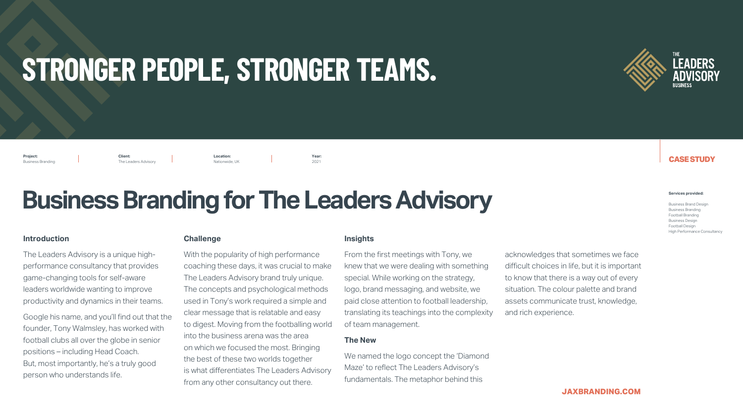### **CASE STUDY**

**JAXBRANDING.COM**





#### **Introduction**

The Leaders Advisory is a unique highperformance consultancy that provides game-changing tools for self-aware leaders worldwide wanting to improve productivity and dynamics in their teams.

Google his name, and you'll find out that the founder, Tony Walmsley, has worked with football clubs all over the globe in senior positions – including Head Coach. But, most importantly, he's a truly good person who understands life.

#### **Challenge**

With the popularity of high performance coaching these days, it was crucial to make The Leaders Advisory brand truly unique. The concepts and psychological methods used in Tony's work required a simple and clear message that is relatable and easy to digest. Moving from the footballing world into the business arena was the area on which we focused the most. Bringing the best of these two worlds together is what differentiates The Leaders Advisory from any other consultancy out there.



#### **Insights**

From the first meetings with Tony, we knew that we were dealing with something special. While working on the strategy, logo, brand messaging, and website, we paid close attention to football leadership, translating its teachings into the complexity of team management.

#### **The New**

We named the logo concept the 'Diamond Maze' to reflect The Leaders Advisory's fundamentals. The metaphor behind this

acknowledges that sometimes we face difficult choices in life, but it is important to know that there is a way out of every situation. The colour palette and brand assets communicate trust, knowledge, and rich experience.

## **Business Branding for The Leaders Advisory**

**Project:** Business Branding

**Client:** The Leaders Advisory **Year:**  2021

**Location:**  Nationwide, UK

#### **Services provided:**

Business Brand Design Business Branding Football Branding Business Design Football Design High Performance Consultancy

# **STRONGER PEOPLE, STRONGER TEAMS.**